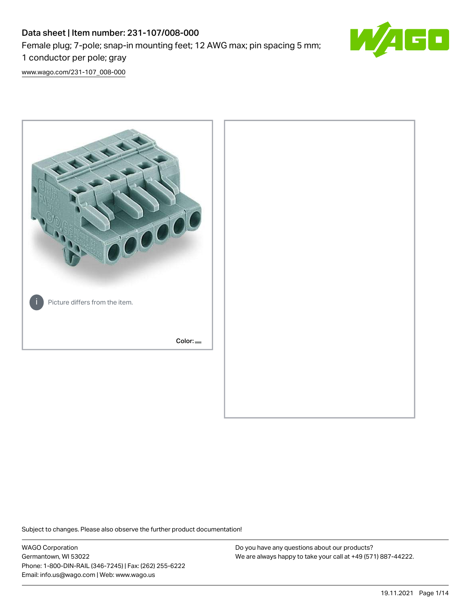# Data sheet | Item number: 231-107/008-000 Female plug; 7-pole; snap-in mounting feet; 12 AWG max; pin spacing 5 mm; 1 conductor per pole; gray



[www.wago.com/231-107\\_008-000](http://www.wago.com/231-107_008-000)



Subject to changes. Please also observe the further product documentation!

WAGO Corporation Germantown, WI 53022 Phone: 1-800-DIN-RAIL (346-7245) | Fax: (262) 255-6222 Email: info.us@wago.com | Web: www.wago.us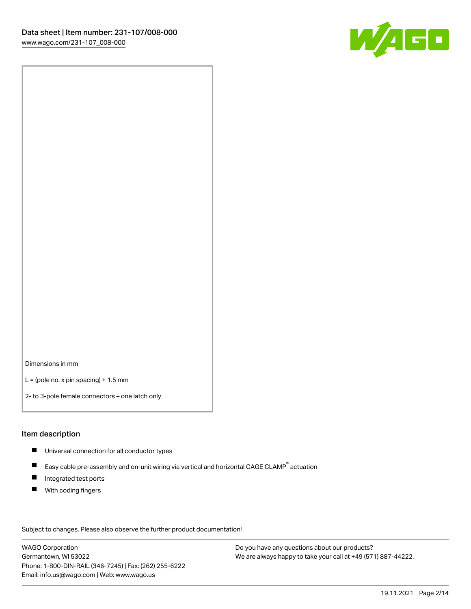

Dimensions in mm

 $L =$  (pole no. x pin spacing) + 1.5 mm

2- to 3-pole female connectors – one latch only

#### Item description

- **Universal connection for all conductor types**
- Easy cable pre-assembly and on-unit wiring via vertical and horizontal CAGE CLAMP<sup>®</sup> actuation  $\blacksquare$
- $\blacksquare$ Integrated test ports
- $\blacksquare$ With coding fingers

Subject to changes. Please also observe the further product documentation! Data

WAGO Corporation Germantown, WI 53022 Phone: 1-800-DIN-RAIL (346-7245) | Fax: (262) 255-6222 Email: info.us@wago.com | Web: www.wago.us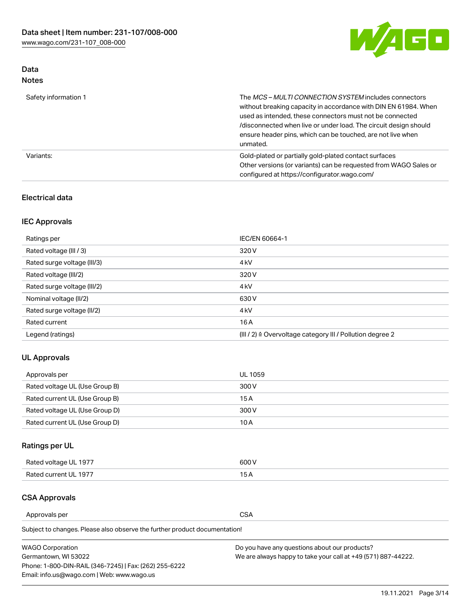

## Data Notes

| Safety information 1 | The MCS-MULTI CONNECTION SYSTEM includes connectors<br>without breaking capacity in accordance with DIN EN 61984. When<br>used as intended, these connectors must not be connected<br>/disconnected when live or under load. The circuit design should<br>ensure header pins, which can be touched, are not live when<br>unmated. |
|----------------------|-----------------------------------------------------------------------------------------------------------------------------------------------------------------------------------------------------------------------------------------------------------------------------------------------------------------------------------|
| Variants:            | Gold-plated or partially gold-plated contact surfaces<br>Other versions (or variants) can be requested from WAGO Sales or<br>configured at https://configurator.wago.com/                                                                                                                                                         |

### Electrical data

# IEC Approvals

| Ratings per                 | IEC/EN 60664-1                                                        |
|-----------------------------|-----------------------------------------------------------------------|
| Rated voltage (III / 3)     | 320 V                                                                 |
| Rated surge voltage (III/3) | 4 <sub>k</sub> V                                                      |
| Rated voltage (III/2)       | 320 V                                                                 |
| Rated surge voltage (III/2) | 4 <sub>k</sub> V                                                      |
| Nominal voltage (II/2)      | 630 V                                                                 |
| Rated surge voltage (II/2)  | 4 <sub>k</sub> V                                                      |
| Rated current               | 16A                                                                   |
| Legend (ratings)            | $(III / 2)$ $\triangle$ Overvoltage category III / Pollution degree 2 |

### UL Approvals

| Approvals per                  | UL 1059 |
|--------------------------------|---------|
| Rated voltage UL (Use Group B) | 300 V   |
| Rated current UL (Use Group B) | 15 A    |
| Rated voltage UL (Use Group D) | 300 V   |
| Rated current UL (Use Group D) | 10 A    |

# Ratings per UL

| Rated voltage UL 1977 | 600 V         |
|-----------------------|---------------|
| Rated current UL 1977 | $\sim$ $\sim$ |

### CSA Approvals

Approvals per CSA

Subject to changes. Please also observe the further product documentation!

| <b>WAGO Corporation</b>                                | Do you have any questions about our products?                 |
|--------------------------------------------------------|---------------------------------------------------------------|
| Germantown, WI 53022                                   | We are always happy to take your call at +49 (571) 887-44222. |
| Phone: 1-800-DIN-RAIL (346-7245)   Fax: (262) 255-6222 |                                                               |
| Email: info.us@wago.com   Web: www.wago.us             |                                                               |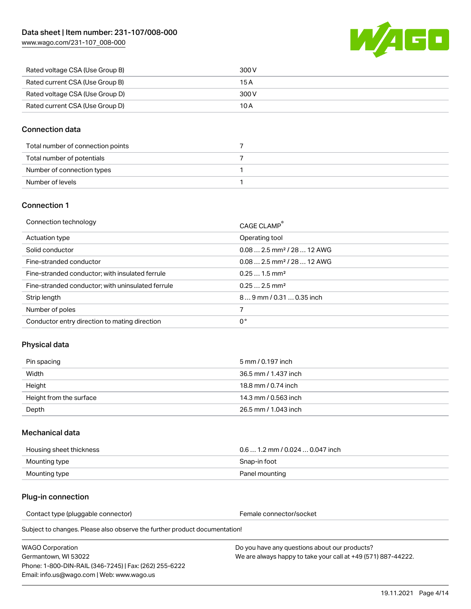[www.wago.com/231-107\\_008-000](http://www.wago.com/231-107_008-000)



| Rated voltage CSA (Use Group B) | 300 V |
|---------------------------------|-------|
| Rated current CSA (Use Group B) | 15 A  |
| Rated voltage CSA (Use Group D) | 300 V |
| Rated current CSA (Use Group D) | 10 A  |

#### Connection data

| Total number of connection points |  |
|-----------------------------------|--|
| Total number of potentials        |  |
| Number of connection types        |  |
| Number of levels                  |  |

#### Connection 1

| Connection technology                             | CAGE CLAMP®                             |
|---------------------------------------------------|-----------------------------------------|
| Actuation type                                    | Operating tool                          |
| Solid conductor                                   | $0.082.5$ mm <sup>2</sup> / 28  12 AWG  |
| Fine-stranded conductor                           | $0.08$ 2.5 mm <sup>2</sup> / 28  12 AWG |
| Fine-stranded conductor; with insulated ferrule   | $0.251.5$ mm <sup>2</sup>               |
| Fine-stranded conductor; with uninsulated ferrule | $0.252.5$ mm <sup>2</sup>               |
| Strip length                                      | 89 mm / 0.31  0.35 inch                 |
| Number of poles                                   |                                         |
| Conductor entry direction to mating direction     | 0°                                      |

### Physical data

| Pin spacing             | 5 mm / 0.197 inch    |
|-------------------------|----------------------|
| Width                   | 36.5 mm / 1.437 inch |
| Height                  | 18.8 mm / 0.74 inch  |
| Height from the surface | 14.3 mm / 0.563 inch |
| Depth                   | 26.5 mm / 1.043 inch |

#### Mechanical data

| Housing sheet thickness | $0.6$ 1.2 mm / 0.024 $\dots$ 0.047 inch |
|-------------------------|-----------------------------------------|
| Mounting type           | Snap-in foot                            |
| Mounting type           | Panel mounting                          |

#### Plug-in connection

Contact type (pluggable connector) example a set of the Female connector/socket

Subject to changes. Please also observe the further product documentation!

| WAGO Corporation                                       |  |
|--------------------------------------------------------|--|
| Germantown. WI 53022                                   |  |
| Phone: 1-800-DIN-RAIL (346-7245)   Fax: (262) 255-6222 |  |
| Email: info.us@wago.com   Web: www.wago.us             |  |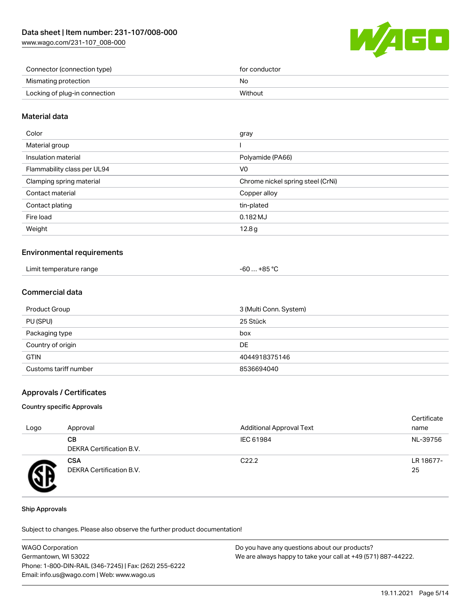[www.wago.com/231-107\\_008-000](http://www.wago.com/231-107_008-000)



| Connector (connection type)   | for conductor |
|-------------------------------|---------------|
| Mismating protection          | No            |
| Locking of plug-in connection | Without       |

#### Material data

| Color                       | gray                              |
|-----------------------------|-----------------------------------|
| Material group              |                                   |
| Insulation material         | Polyamide (PA66)                  |
| Flammability class per UL94 | V0                                |
| Clamping spring material    | Chrome nickel spring steel (CrNi) |
| Contact material            | Copper alloy                      |
| Contact plating             | tin-plated                        |
| Fire load                   | 0.182 MJ                          |
| Weight                      | 12.8g                             |
|                             |                                   |

#### Environmental requirements

| Limit temperature range | -60  +85 °Ր |
|-------------------------|-------------|
|                         |             |

### Commercial data

| Product Group         | 3 (Multi Conn. System) |
|-----------------------|------------------------|
| PU (SPU)              | 25 Stück               |
| Packaging type        | box                    |
| Country of origin     | DE                     |
| <b>GTIN</b>           | 4044918375146          |
| Customs tariff number | 8536694040             |

#### Approvals / Certificates

#### Country specific Approvals

| Logo | Approval                               | <b>Additional Approval Text</b> | Certificate<br>name |
|------|----------------------------------------|---------------------------------|---------------------|
|      | CВ<br><b>DEKRA Certification B.V.</b>  | IEC 61984                       | NL-39756            |
|      | <b>CSA</b><br>DEKRA Certification B.V. | C <sub>22.2</sub>               | LR 18677-<br>25     |

#### Ship Approvals

Subject to changes. Please also observe the further product documentation!

| <b>WAGO Corporation</b>                                | Do you have any questions about our products?                 |
|--------------------------------------------------------|---------------------------------------------------------------|
| Germantown, WI 53022                                   | We are always happy to take your call at +49 (571) 887-44222. |
| Phone: 1-800-DIN-RAIL (346-7245)   Fax: (262) 255-6222 |                                                               |
| Email: info.us@wago.com   Web: www.wago.us             |                                                               |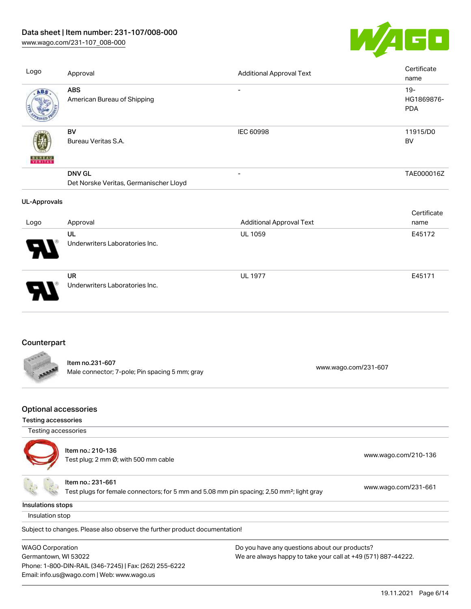# Data sheet | Item number: 231-107/008-000

[www.wago.com/231-107\\_008-000](http://www.wago.com/231-107_008-000)



| Logo                                       | Approval                                                          | <b>Additional Approval Text</b> | Certificate<br>name                |
|--------------------------------------------|-------------------------------------------------------------------|---------------------------------|------------------------------------|
| ABS                                        | <b>ABS</b><br>American Bureau of Shipping                         | $\overline{\phantom{a}}$        | $19 -$<br>HG1869876-<br><b>PDA</b> |
|                                            | BV<br>Bureau Veritas S.A.                                         | <b>IEC 60998</b>                | 11915/D0<br><b>BV</b>              |
|                                            | <b>DNV GL</b><br>Det Norske Veritas, Germanischer Lloyd           | $\overline{a}$                  | TAE000016Z                         |
| <b>UL-Approvals</b>                        |                                                                   |                                 |                                    |
| Logo                                       | Approval                                                          | <b>Additional Approval Text</b> | Certificate<br>name                |
|                                            | UL<br>Underwriters Laboratories Inc.                              | <b>UL 1059</b>                  | E45172                             |
|                                            | <b>UR</b><br>Underwriters Laboratories Inc.                       | <b>UL 1977</b>                  | E45171                             |
| Counterpart                                |                                                                   |                                 |                                    |
|                                            | Item no.231-607<br>Male connector; 7-pole; Pin spacing 5 mm; gray | www.wago.com/231-607            |                                    |
| <b>Optional accessories</b>                |                                                                   |                                 |                                    |
| Testing accessories<br>Testing accessories |                                                                   |                                 |                                    |
|                                            |                                                                   |                                 |                                    |

Item no.: 210-136 Test plug; 2 no-130<br>Test plug; 2 mm Ø; with 500 mm cable [www.wago.com/210-136](http://www.wago.com/210-136) Item no.: 231-661 Test plugs for female connectors; for 5 mm and 5.08 mm pin spacing; 2,50 mm²; light gray [www.wago.com/231-661](http://www.wago.com/231-661)

Insulations stops

Insulation stop

Subject to changes. Please also observe the further product documentation!

WAGO Corporation Germantown, WI 53022 Phone: 1-800-DIN-RAIL (346-7245) | Fax: (262) 255-6222 Email: info.us@wago.com | Web: www.wago.us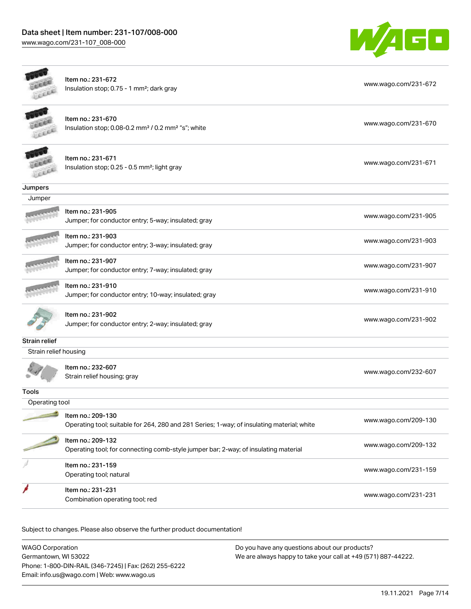

|                       | Item no.: 231-672<br>Insulation stop; 0.75 - 1 mm <sup>2</sup> ; dark gray                                      | www.wago.com/231-672 |
|-----------------------|-----------------------------------------------------------------------------------------------------------------|----------------------|
|                       | Item no.: 231-670<br>Insulation stop; 0.08-0.2 mm <sup>2</sup> / 0.2 mm <sup>2</sup> "s"; white                 | www.wago.com/231-670 |
|                       | Item no.: 231-671<br>Insulation stop; 0.25 - 0.5 mm <sup>2</sup> ; light gray                                   | www.wago.com/231-671 |
| Jumpers               |                                                                                                                 |                      |
| Jumper                |                                                                                                                 |                      |
|                       | Item no.: 231-905<br>Jumper; for conductor entry; 5-way; insulated; gray                                        | www.wago.com/231-905 |
|                       | Item no.: 231-903<br>Jumper; for conductor entry; 3-way; insulated; gray                                        | www.wago.com/231-903 |
|                       | Item no.: 231-907<br>Jumper; for conductor entry; 7-way; insulated; gray                                        | www.wago.com/231-907 |
|                       | Item no.: 231-910<br>Jumper; for conductor entry; 10-way; insulated; gray                                       | www.wago.com/231-910 |
|                       | ltem no.: 231-902<br>Jumper; for conductor entry; 2-way; insulated; gray                                        | www.wago.com/231-902 |
| <b>Strain relief</b>  |                                                                                                                 |                      |
| Strain relief housing |                                                                                                                 |                      |
|                       | Item no.: 232-607<br>Strain relief housing; gray                                                                | www.wago.com/232-607 |
| <b>Tools</b>          |                                                                                                                 |                      |
| Operating tool        |                                                                                                                 |                      |
|                       | ltem no.: 209-130<br>Operating tool; suitable for 264, 280 and 281 Series; 1-way; of insulating material; white | www.wago.com/209-130 |
|                       | Item no.: 209-132<br>Operating tool; for connecting comb-style jumper bar; 2-way; of insulating material        | www.wago.com/209-132 |
|                       | Item no.: 231-159<br>Operating tool; natural                                                                    | www.wago.com/231-159 |
|                       | Item no.: 231-231<br>Combination operating tool; red                                                            | www.wago.com/231-231 |
|                       |                                                                                                                 |                      |

Subject to changes. Please also observe the further product documentation!

| <b>WAGO Corporation</b>                                | Do you have any questions about our products?                 |
|--------------------------------------------------------|---------------------------------------------------------------|
| Germantown, WI 53022                                   | We are always happy to take your call at +49 (571) 887-44222. |
| Phone: 1-800-DIN-RAIL (346-7245)   Fax: (262) 255-6222 |                                                               |
| Email: info.us@wago.com   Web: www.wago.us             |                                                               |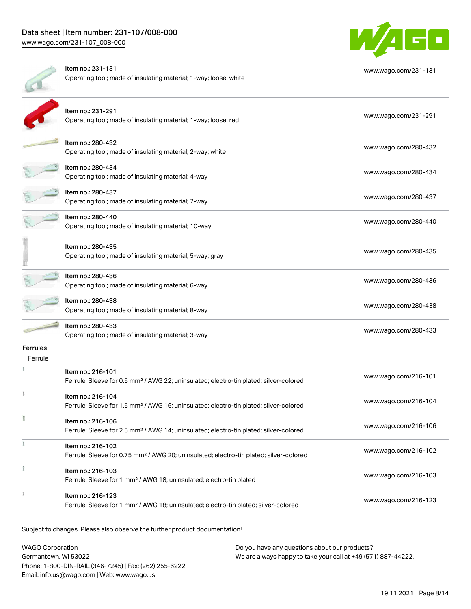

|          | Item no.: 231-131<br>Operating tool; made of insulating material; 1-way; loose; white                                   | www.wago.com/231-131 |
|----------|-------------------------------------------------------------------------------------------------------------------------|----------------------|
|          | Item no.: 231-291<br>Operating tool; made of insulating material; 1-way; loose; red                                     | www.wago.com/231-291 |
|          | Item no.: 280-432<br>Operating tool; made of insulating material; 2-way; white                                          | www.wago.com/280-432 |
|          | Item no.: 280-434<br>Operating tool; made of insulating material; 4-way                                                 | www.wago.com/280-434 |
|          | Item no.: 280-437<br>Operating tool; made of insulating material; 7-way                                                 | www.wago.com/280-437 |
|          | Item no.: 280-440<br>Operating tool; made of insulating material; 10-way                                                | www.wago.com/280-440 |
|          | Item no.: 280-435<br>Operating tool; made of insulating material; 5-way; gray                                           | www.wago.com/280-435 |
|          | Item no.: 280-436<br>Operating tool; made of insulating material; 6-way                                                 | www.wago.com/280-436 |
|          | Item no.: 280-438<br>Operating tool; made of insulating material; 8-way                                                 | www.wago.com/280-438 |
|          | Item no.: 280-433<br>Operating tool; made of insulating material; 3-way                                                 | www.wago.com/280-433 |
| Ferrules |                                                                                                                         |                      |
| Ferrule  | Item no.: 216-101<br>Ferrule; Sleeve for 0.5 mm <sup>2</sup> / AWG 22; uninsulated; electro-tin plated; silver-colored  | www.wago.com/216-101 |
|          | Item no.: 216-104<br>Ferrule; Sleeve for 1.5 mm <sup>2</sup> / AWG 16; uninsulated; electro-tin plated; silver-colored  | www.wago.com/216-104 |
| Ĭ        | Item no.: 216-106<br>Ferrule; Sleeve for 2.5 mm <sup>2</sup> / AWG 14; uninsulated; electro-tin plated; silver-colored  | www.wago.com/216-106 |
|          | Item no.: 216-102<br>Ferrule; Sleeve for 0.75 mm <sup>2</sup> / AWG 20; uninsulated; electro-tin plated; silver-colored | www.wago.com/216-102 |
|          | Item no.: 216-103<br>Ferrule; Sleeve for 1 mm <sup>2</sup> / AWG 18; uninsulated; electro-tin plated                    | www.wago.com/216-103 |
|          | Item no.: 216-123<br>Ferrule; Sleeve for 1 mm <sup>2</sup> / AWG 18; uninsulated; electro-tin plated; silver-colored    | www.wago.com/216-123 |
|          |                                                                                                                         |                      |

Subject to changes. Please also observe the further product documentation!

WAGO Corporation Germantown, WI 53022 Phone: 1-800-DIN-RAIL (346-7245) | Fax: (262) 255-6222 Email: info.us@wago.com | Web: www.wago.us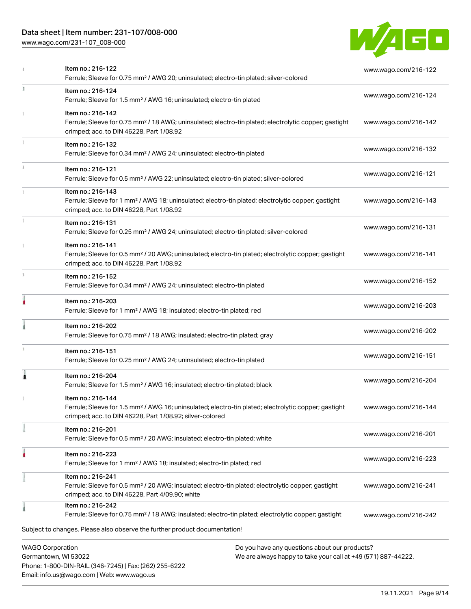# Data sheet | Item number: 231-107/008-000

Phone: 1-800-DIN-RAIL (346-7245) | Fax: (262) 255-6222

Email: info.us@wago.com | Web: www.wago.us

[www.wago.com/231-107\\_008-000](http://www.wago.com/231-107_008-000)



|                                                 | Item no.: 216-122<br>Ferrule; Sleeve for 0.75 mm <sup>2</sup> / AWG 20; uninsulated; electro-tin plated; silver-colored                                                                           |                                                                                                                | www.wago.com/216-122 |
|-------------------------------------------------|---------------------------------------------------------------------------------------------------------------------------------------------------------------------------------------------------|----------------------------------------------------------------------------------------------------------------|----------------------|
| J.                                              | Item no.: 216-124<br>Ferrule; Sleeve for 1.5 mm <sup>2</sup> / AWG 16; uninsulated; electro-tin plated                                                                                            |                                                                                                                | www.wago.com/216-124 |
|                                                 | Item no.: 216-142<br>Ferrule; Sleeve for 0.75 mm <sup>2</sup> / 18 AWG; uninsulated; electro-tin plated; electrolytic copper; gastight<br>crimped; acc. to DIN 46228, Part 1/08.92                |                                                                                                                | www.wago.com/216-142 |
|                                                 | Item no.: 216-132<br>Ferrule; Sleeve for 0.34 mm <sup>2</sup> / AWG 24; uninsulated; electro-tin plated                                                                                           |                                                                                                                | www.wago.com/216-132 |
|                                                 | Item no.: 216-121<br>Ferrule; Sleeve for 0.5 mm <sup>2</sup> / AWG 22; uninsulated; electro-tin plated; silver-colored                                                                            |                                                                                                                | www.wago.com/216-121 |
|                                                 | Item no.: 216-143<br>Ferrule; Sleeve for 1 mm <sup>2</sup> / AWG 18; uninsulated; electro-tin plated; electrolytic copper; gastight<br>crimped; acc. to DIN 46228, Part 1/08.92                   |                                                                                                                | www.wago.com/216-143 |
|                                                 | Item no.: 216-131<br>Ferrule; Sleeve for 0.25 mm <sup>2</sup> / AWG 24; uninsulated; electro-tin plated; silver-colored                                                                           |                                                                                                                | www.wago.com/216-131 |
|                                                 | Item no.: 216-141<br>Ferrule; Sleeve for 0.5 mm <sup>2</sup> / 20 AWG; uninsulated; electro-tin plated; electrolytic copper; gastight<br>crimped; acc. to DIN 46228, Part 1/08.92                 |                                                                                                                | www.wago.com/216-141 |
| x                                               | Item no.: 216-152<br>Ferrule; Sleeve for 0.34 mm <sup>2</sup> / AWG 24; uninsulated; electro-tin plated                                                                                           |                                                                                                                | www.wago.com/216-152 |
|                                                 | Item no.: 216-203<br>Ferrule; Sleeve for 1 mm <sup>2</sup> / AWG 18; insulated; electro-tin plated; red                                                                                           |                                                                                                                | www.wago.com/216-203 |
|                                                 | Item no.: 216-202<br>Ferrule; Sleeve for 0.75 mm <sup>2</sup> / 18 AWG; insulated; electro-tin plated; gray                                                                                       |                                                                                                                | www.wago.com/216-202 |
|                                                 | Item no.: 216-151<br>Ferrule; Sleeve for 0.25 mm <sup>2</sup> / AWG 24; uninsulated; electro-tin plated                                                                                           |                                                                                                                | www.wago.com/216-151 |
| 1                                               | Item no.: 216-204<br>Ferrule; Sleeve for 1.5 mm <sup>2</sup> / AWG 16; insulated; electro-tin plated; black                                                                                       |                                                                                                                | www.wago.com/216-204 |
|                                                 | Item no.: 216-144<br>Ferrule; Sleeve for 1.5 mm <sup>2</sup> / AWG 16; uninsulated; electro-tin plated; electrolytic copper; gastight<br>crimped; acc. to DIN 46228, Part 1/08.92; silver-colored |                                                                                                                | www.wago.com/216-144 |
|                                                 | Item no.: 216-201<br>Ferrule; Sleeve for 0.5 mm <sup>2</sup> / 20 AWG; insulated; electro-tin plated; white                                                                                       |                                                                                                                | www.wago.com/216-201 |
|                                                 | Item no.: 216-223<br>Ferrule; Sleeve for 1 mm <sup>2</sup> / AWG 18; insulated; electro-tin plated; red                                                                                           |                                                                                                                | www.wago.com/216-223 |
|                                                 | Item no.: 216-241<br>Ferrule; Sleeve for 0.5 mm <sup>2</sup> / 20 AWG; insulated; electro-tin plated; electrolytic copper; gastight<br>crimped; acc. to DIN 46228, Part 4/09.90; white            |                                                                                                                | www.wago.com/216-241 |
|                                                 | Item no.: 216-242<br>Ferrule; Sleeve for 0.75 mm <sup>2</sup> / 18 AWG; insulated; electro-tin plated; electrolytic copper; gastight                                                              |                                                                                                                | www.wago.com/216-242 |
|                                                 | Subject to changes. Please also observe the further product documentation!                                                                                                                        |                                                                                                                |                      |
| <b>WAGO Corporation</b><br>Germantown, WI 53022 |                                                                                                                                                                                                   | Do you have any questions about our products?<br>We are always happy to take your call at +49 (571) 887-44222. |                      |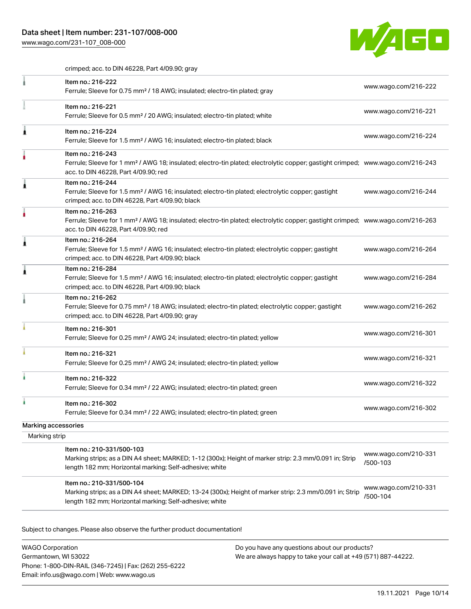[www.wago.com/231-107\\_008-000](http://www.wago.com/231-107_008-000)



crimped; acc. to DIN 46228, Part 4/09.90; gray

|                     | Item no.: 216-222<br>Ferrule; Sleeve for 0.75 mm <sup>2</sup> / 18 AWG; insulated; electro-tin plated; gray                                                                                             | www.wago.com/216-222             |
|---------------------|---------------------------------------------------------------------------------------------------------------------------------------------------------------------------------------------------------|----------------------------------|
|                     | Item no.: 216-221<br>Ferrule; Sleeve for 0.5 mm <sup>2</sup> / 20 AWG; insulated; electro-tin plated; white                                                                                             | www.wago.com/216-221             |
|                     | Item no.: 216-224<br>Ferrule; Sleeve for 1.5 mm <sup>2</sup> / AWG 16; insulated; electro-tin plated; black                                                                                             | www.wago.com/216-224             |
|                     | Item no.: 216-243<br>Ferrule; Sleeve for 1 mm <sup>2</sup> / AWG 18; insulated; electro-tin plated; electrolytic copper; gastight crimped; www.wago.com/216-243<br>acc. to DIN 46228, Part 4/09.90; red |                                  |
|                     | Item no.: 216-244<br>Ferrule; Sleeve for 1.5 mm <sup>2</sup> / AWG 16; insulated; electro-tin plated; electrolytic copper; gastight<br>crimped; acc. to DIN 46228, Part 4/09.90; black                  | www.wago.com/216-244             |
|                     | Item no.: 216-263<br>Ferrule; Sleeve for 1 mm <sup>2</sup> / AWG 18; insulated; electro-tin plated; electrolytic copper; gastight crimped; www.wago.com/216-263<br>acc. to DIN 46228, Part 4/09.90; red |                                  |
|                     | Item no.: 216-264<br>Ferrule; Sleeve for 1.5 mm <sup>2</sup> / AWG 16; insulated; electro-tin plated; electrolytic copper; gastight<br>crimped; acc. to DIN 46228, Part 4/09.90; black                  | www.wago.com/216-264             |
|                     | Item no.: 216-284<br>Ferrule; Sleeve for 1.5 mm <sup>2</sup> / AWG 16; insulated; electro-tin plated; electrolytic copper; gastight<br>crimped; acc. to DIN 46228, Part 4/09.90; black                  | www.wago.com/216-284             |
|                     | Item no.: 216-262<br>Ferrule; Sleeve for 0.75 mm <sup>2</sup> / 18 AWG; insulated; electro-tin plated; electrolytic copper; gastight<br>crimped; acc. to DIN 46228, Part 4/09.90; gray                  | www.wago.com/216-262             |
|                     | Item no.: 216-301<br>Ferrule; Sleeve for 0.25 mm <sup>2</sup> / AWG 24; insulated; electro-tin plated; yellow                                                                                           | www.wago.com/216-301             |
|                     | Item no.: 216-321<br>Ferrule; Sleeve for 0.25 mm <sup>2</sup> / AWG 24; insulated; electro-tin plated; yellow                                                                                           | www.wago.com/216-321             |
|                     | Item no.: 216-322<br>Ferrule; Sleeve for 0.34 mm <sup>2</sup> / 22 AWG; insulated; electro-tin plated; green                                                                                            | www.wago.com/216-322             |
|                     | Item no.: 216-302<br>Ferrule; Sleeve for 0.34 mm <sup>2</sup> / 22 AWG; insulated; electro-tin plated; green                                                                                            | www.wago.com/216-302             |
| Marking accessories |                                                                                                                                                                                                         |                                  |
| Marking strip       |                                                                                                                                                                                                         |                                  |
|                     | Item no.: 210-331/500-103<br>Marking strips; as a DIN A4 sheet; MARKED; 1-12 (300x); Height of marker strip: 2.3 mm/0.091 in; Strip<br>length 182 mm; Horizontal marking; Self-adhesive; white          | www.wago.com/210-331<br>/500-103 |
|                     | Item no.: 210-331/500-104<br>Marking strips; as a DIN A4 sheet; MARKED; 13-24 (300x); Height of marker strip: 2.3 mm/0.091 in; Strip<br>length 182 mm; Horizontal marking; Self-adhesive; white         | www.wago.com/210-331<br>/500-104 |

Subject to changes. Please also observe the further product documentation!

WAGO Corporation Germantown, WI 53022 Phone: 1-800-DIN-RAIL (346-7245) | Fax: (262) 255-6222 Email: info.us@wago.com | Web: www.wago.us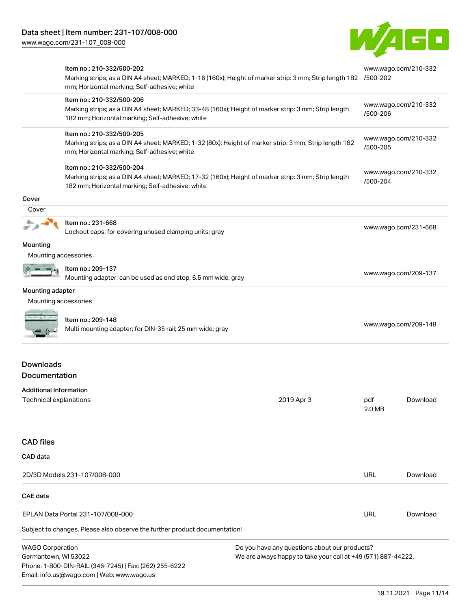Phone: 1-800-DIN-RAIL (346-7245) | Fax: (262) 255-6222

Email: info.us@wago.com | Web: www.wago.us



|                                                                           | Item no.: 210-332/500-202<br>Marking strips; as a DIN A4 sheet; MARKED; 1-16 (160x); Height of marker strip: 3 mm; Strip length 182 /500-202<br>mm; Horizontal marking; Self-adhesive; white |                                                                                                                |               | www.wago.com/210-332 |
|---------------------------------------------------------------------------|----------------------------------------------------------------------------------------------------------------------------------------------------------------------------------------------|----------------------------------------------------------------------------------------------------------------|---------------|----------------------|
|                                                                           | Item no.: 210-332/500-206<br>Marking strips; as a DIN A4 sheet; MARKED; 33-48 (160x); Height of marker strip: 3 mm; Strip length<br>182 mm; Horizontal marking; Self-adhesive; white         |                                                                                                                | /500-206      | www.wago.com/210-332 |
|                                                                           | Item no.: 210-332/500-205<br>Marking strips; as a DIN A4 sheet; MARKED; 1-32 (80x); Height of marker strip: 3 mm; Strip length 182<br>mm; Horizontal marking; Self-adhesive; white           |                                                                                                                | /500-205      | www.wago.com/210-332 |
|                                                                           | Item no.: 210-332/500-204<br>Marking strips; as a DIN A4 sheet; MARKED; 17-32 (160x); Height of marker strip: 3 mm; Strip length<br>182 mm; Horizontal marking; Self-adhesive; white         |                                                                                                                | /500-204      | www.wago.com/210-332 |
| Cover                                                                     |                                                                                                                                                                                              |                                                                                                                |               |                      |
| Cover                                                                     |                                                                                                                                                                                              |                                                                                                                |               |                      |
|                                                                           | Item no.: 231-668<br>Lockout caps; for covering unused clamping units; gray                                                                                                                  |                                                                                                                |               | www.wago.com/231-668 |
| Mounting                                                                  |                                                                                                                                                                                              |                                                                                                                |               |                      |
| Mounting accessories                                                      |                                                                                                                                                                                              |                                                                                                                |               |                      |
|                                                                           | Item no.: 209-137<br>Mounting adapter; can be used as end stop; 6.5 mm wide; gray                                                                                                            |                                                                                                                |               | www.wago.com/209-137 |
| Mounting adapter                                                          |                                                                                                                                                                                              |                                                                                                                |               |                      |
| Mounting accessories                                                      |                                                                                                                                                                                              |                                                                                                                |               |                      |
|                                                                           | Item no.: 209-148<br>Multi mounting adapter; for DIN-35 rail; 25 mm wide; gray                                                                                                               |                                                                                                                |               | www.wago.com/209-148 |
| <b>Downloads</b><br><b>Documentation</b><br><b>Additional Information</b> |                                                                                                                                                                                              |                                                                                                                |               |                      |
| Technical explanations                                                    |                                                                                                                                                                                              | 2019 Apr 3                                                                                                     | pdf<br>2.0 MB | Download             |
| <b>CAD</b> files                                                          |                                                                                                                                                                                              |                                                                                                                |               |                      |
| CAD data                                                                  |                                                                                                                                                                                              |                                                                                                                |               |                      |
|                                                                           | 2D/3D Models 231-107/008-000                                                                                                                                                                 |                                                                                                                | <b>URL</b>    | Download             |
| <b>CAE</b> data                                                           |                                                                                                                                                                                              |                                                                                                                |               |                      |
|                                                                           | EPLAN Data Portal 231-107/008-000                                                                                                                                                            |                                                                                                                | <b>URL</b>    | Download             |
|                                                                           | Subject to changes. Please also observe the further product documentation!                                                                                                                   |                                                                                                                |               |                      |
| <b>WAGO Corporation</b><br>Germantown, WI 53022                           |                                                                                                                                                                                              | Do you have any questions about our products?<br>We are always happy to take your call at +49 (571) 887-44222. |               |                      |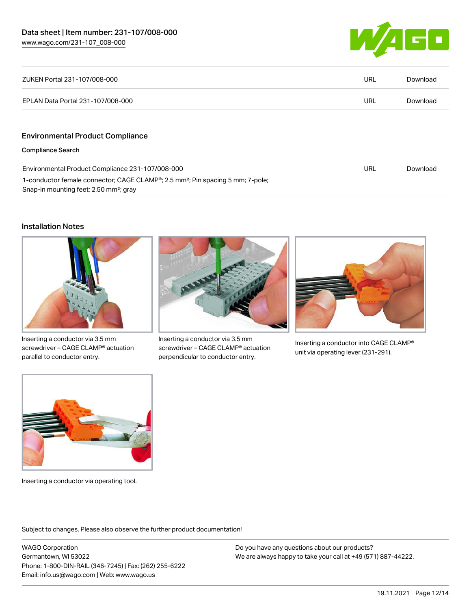

| ZUKEN Portal 231-107/008-000                                                                                                                                  | URL | Download |
|---------------------------------------------------------------------------------------------------------------------------------------------------------------|-----|----------|
| EPLAN Data Portal 231-107/008-000                                                                                                                             | URL | Download |
|                                                                                                                                                               |     |          |
| <b>Environmental Product Compliance</b>                                                                                                                       |     |          |
| <b>Compliance Search</b>                                                                                                                                      |     |          |
| Environmental Product Compliance 231-107/008-000                                                                                                              | URL | Download |
| 1-conductor female connector; CAGE CLAMP <sup>®</sup> ; 2.5 mm <sup>2</sup> ; Pin spacing 5 mm; 7-pole;<br>Snap-in mounting feet; 2,50 mm <sup>2</sup> ; gray |     |          |

#### Installation Notes



Inserting a conductor via 3.5 mm screwdriver – CAGE CLAMP® actuation parallel to conductor entry.



Inserting a conductor via 3.5 mm screwdriver – CAGE CLAMP® actuation perpendicular to conductor entry.



Inserting a conductor into CAGE CLAMP® unit via operating lever (231-291).



Inserting a conductor via operating tool.

Subject to changes. Please also observe the further product documentation!

WAGO Corporation Germantown, WI 53022 Phone: 1-800-DIN-RAIL (346-7245) | Fax: (262) 255-6222 Email: info.us@wago.com | Web: www.wago.us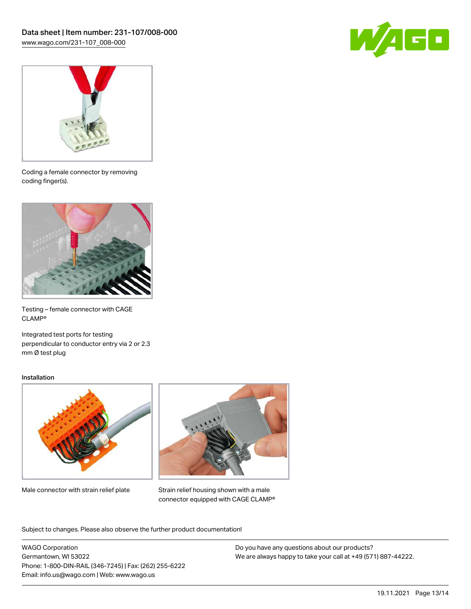



Coding a female connector by removing coding finger(s).



Testing – female connector with CAGE CLAMP®

Integrated test ports for testing perpendicular to conductor entry via 2 or 2.3 mm Ø test plug

#### Installation



Male connector with strain relief plate



Strain relief housing shown with a male connector equipped with CAGE CLAMP®

Subject to changes. Please also observe the further product documentation!

WAGO Corporation Germantown, WI 53022 Phone: 1-800-DIN-RAIL (346-7245) | Fax: (262) 255-6222 Email: info.us@wago.com | Web: www.wago.us